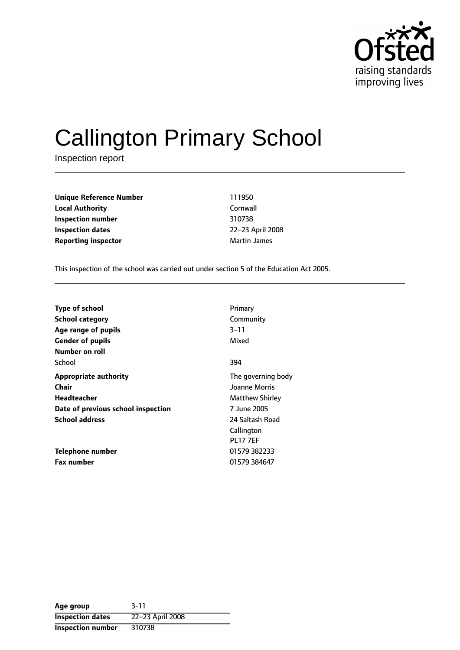

# Callington Primary School

Inspection report

**Unique Reference Number** 111950 **Local Authority** Cornwall **Inspection number** 310738 **Inspection dates** 22-23 April 2008 **Reporting inspector** Martin James

This inspection of the school was carried out under section 5 of the Education Act 2005.

| <b>Type of school</b>              | Primary                |
|------------------------------------|------------------------|
| <b>School category</b>             | Community              |
| Age range of pupils                | 3–11                   |
| <b>Gender of pupils</b>            | Mixed                  |
| Number on roll                     |                        |
| School                             | 394                    |
| <b>Appropriate authority</b>       | The governing body     |
| <b>Chair</b>                       | Joanne Morris          |
| <b>Headteacher</b>                 | <b>Matthew Shirley</b> |
| Date of previous school inspection | 7 June 2005            |
| <b>School address</b>              | 24 Saltash Road        |
|                                    | Callington             |
|                                    | <b>PL17 7EF</b>        |
| Telephone number                   | 01579 382233           |
| <b>Fax number</b>                  | 01579 384647           |

| Age group                | $3 - 11$         |
|--------------------------|------------------|
| <b>Inspection dates</b>  | 22-23 April 2008 |
| <b>Inspection number</b> | 310738           |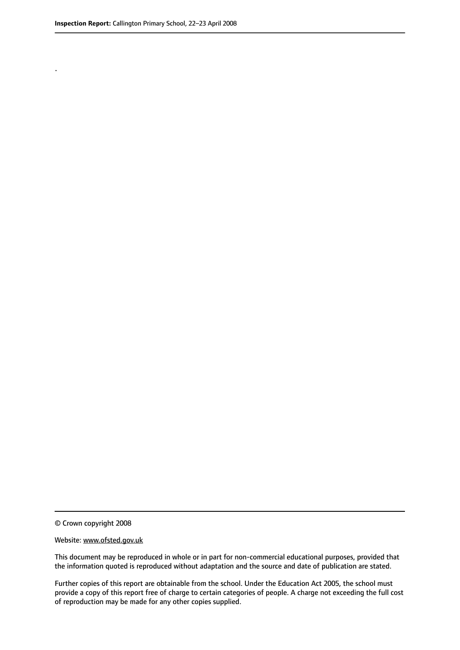.

© Crown copyright 2008

#### Website: www.ofsted.gov.uk

This document may be reproduced in whole or in part for non-commercial educational purposes, provided that the information quoted is reproduced without adaptation and the source and date of publication are stated.

Further copies of this report are obtainable from the school. Under the Education Act 2005, the school must provide a copy of this report free of charge to certain categories of people. A charge not exceeding the full cost of reproduction may be made for any other copies supplied.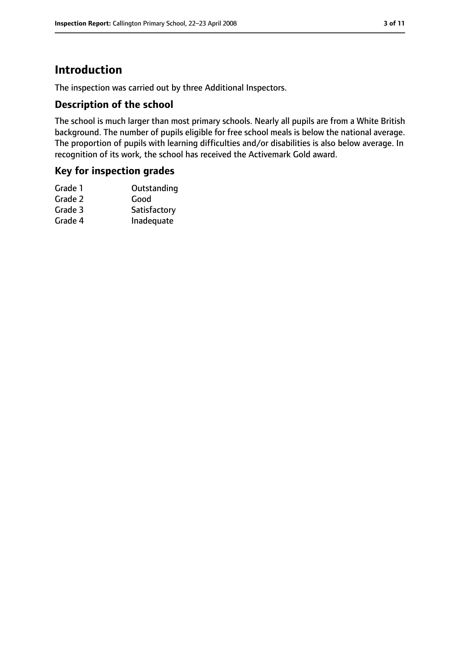# **Introduction**

The inspection was carried out by three Additional Inspectors.

#### **Description of the school**

The school is much larger than most primary schools. Nearly all pupils are from a White British background. The number of pupils eligible for free school meals is below the national average. The proportion of pupils with learning difficulties and/or disabilities is also below average. In recognition of its work, the school has received the Activemark Gold award.

#### **Key for inspection grades**

| Grade 1 | Outstanding  |
|---------|--------------|
| Grade 2 | Good         |
| Grade 3 | Satisfactory |
| Grade 4 | Inadequate   |
|         |              |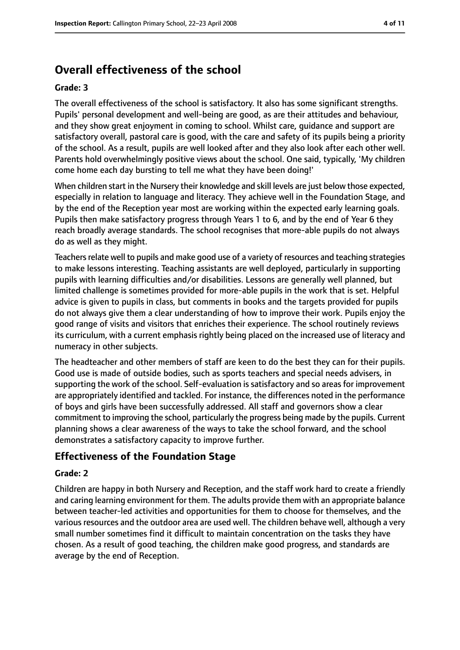# **Overall effectiveness of the school**

#### **Grade: 3**

The overall effectiveness of the school is satisfactory. It also has some significant strengths. Pupils' personal development and well-being are good, as are their attitudes and behaviour, and they show great enjoyment in coming to school. Whilst care, guidance and support are satisfactory overall, pastoral care is good, with the care and safety of its pupils being a priority of the school. As a result, pupils are well looked after and they also look after each other well. Parents hold overwhelmingly positive views about the school. One said, typically, 'My children come home each day bursting to tell me what they have been doing!'

When children start in the Nursery their knowledge and skill levels are just below those expected, especially in relation to language and literacy. They achieve well in the Foundation Stage, and by the end of the Reception year most are working within the expected early learning goals. Pupils then make satisfactory progress through Years 1 to 6, and by the end of Year 6 they reach broadly average standards. The school recognises that more-able pupils do not always do as well as they might.

Teachers relate well to pupils and make good use of a variety of resources and teaching strategies to make lessons interesting. Teaching assistants are well deployed, particularly in supporting pupils with learning difficulties and/or disabilities. Lessons are generally well planned, but limited challenge is sometimes provided for more-able pupils in the work that is set. Helpful advice is given to pupils in class, but comments in books and the targets provided for pupils do not always give them a clear understanding of how to improve their work. Pupils enjoy the good range of visits and visitors that enriches their experience. The school routinely reviews its curriculum, with a current emphasis rightly being placed on the increased use of literacy and numeracy in other subjects.

The headteacher and other members of staff are keen to do the best they can for their pupils. Good use is made of outside bodies, such as sports teachers and special needs advisers, in supporting the work of the school. Self-evaluation is satisfactory and so areas for improvement are appropriately identified and tackled. For instance, the differences noted in the performance of boys and girls have been successfully addressed. All staff and governors show a clear commitment to improving the school, particularly the progress being made by the pupils. Current planning shows a clear awareness of the ways to take the school forward, and the school demonstrates a satisfactory capacity to improve further.

#### **Effectiveness of the Foundation Stage**

#### **Grade: 2**

Children are happy in both Nursery and Reception, and the staff work hard to create a friendly and caring learning environment for them. The adults provide them with an appropriate balance between teacher-led activities and opportunities for them to choose for themselves, and the various resources and the outdoor area are used well. The children behave well, although a very small number sometimes find it difficult to maintain concentration on the tasks they have chosen. As a result of good teaching, the children make good progress, and standards are average by the end of Reception.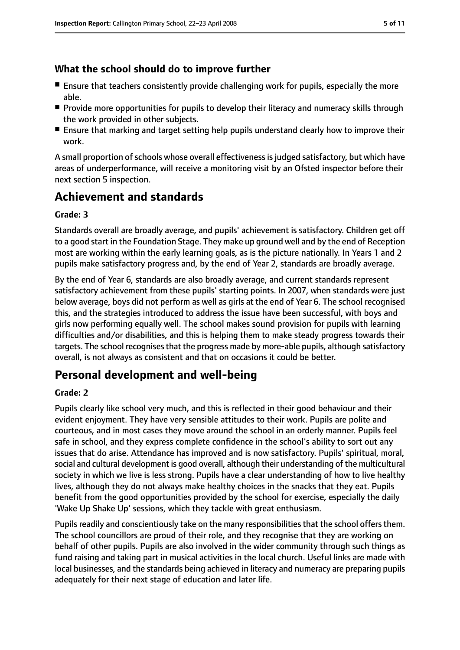## **What the school should do to improve further**

- Ensure that teachers consistently provide challenging work for pupils, especially the more able.
- Provide more opportunities for pupils to develop their literacy and numeracy skills through the work provided in other subjects.
- Ensure that marking and target setting help pupils understand clearly how to improve their work.

A small proportion of schools whose overall effectiveness is judged satisfactory, but which have areas of underperformance, will receive a monitoring visit by an Ofsted inspector before their next section 5 inspection.

# **Achievement and standards**

#### **Grade: 3**

Standards overall are broadly average, and pupils' achievement is satisfactory. Children get off to a good start in the Foundation Stage. They make up ground well and by the end of Reception most are working within the early learning goals, as is the picture nationally. In Years 1 and 2 pupils make satisfactory progress and, by the end of Year 2, standards are broadly average.

By the end of Year 6, standards are also broadly average, and current standards represent satisfactory achievement from these pupils' starting points. In 2007, when standards were just below average, boys did not perform as well as girls at the end of Year 6. The school recognised this, and the strategies introduced to address the issue have been successful, with boys and girls now performing equally well. The school makes sound provision for pupils with learning difficulties and/or disabilities, and this is helping them to make steady progress towards their targets. The school recognises that the progress made by more-able pupils, although satisfactory overall, is not always as consistent and that on occasions it could be better.

# **Personal development and well-being**

#### **Grade: 2**

Pupils clearly like school very much, and this is reflected in their good behaviour and their evident enjoyment. They have very sensible attitudes to their work. Pupils are polite and courteous, and in most cases they move around the school in an orderly manner. Pupils feel safe in school, and they express complete confidence in the school's ability to sort out any issues that do arise. Attendance has improved and is now satisfactory. Pupils' spiritual, moral, social and cultural development is good overall, although their understanding of the multicultural society in which we live is less strong. Pupils have a clear understanding of how to live healthy lives, although they do not always make healthy choices in the snacks that they eat. Pupils benefit from the good opportunities provided by the school for exercise, especially the daily 'Wake Up Shake Up' sessions, which they tackle with great enthusiasm.

Pupils readily and conscientiously take on the many responsibilities that the school offers them. The school councillors are proud of their role, and they recognise that they are working on behalf of other pupils. Pupils are also involved in the wider community through such things as fund raising and taking part in musical activities in the local church. Useful links are made with local businesses, and the standards being achieved in literacy and numeracy are preparing pupils adequately for their next stage of education and later life.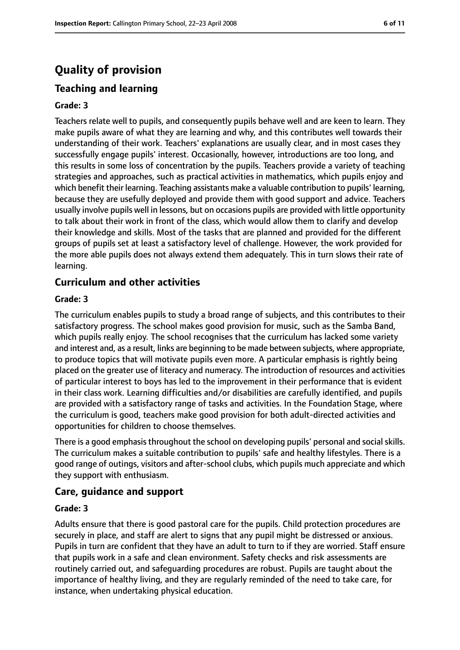# **Quality of provision**

## **Teaching and learning**

#### **Grade: 3**

Teachers relate well to pupils, and consequently pupils behave well and are keen to learn. They make pupils aware of what they are learning and why, and this contributes well towards their understanding of their work. Teachers' explanations are usually clear, and in most cases they successfully engage pupils' interest. Occasionally, however, introductions are too long, and this results in some loss of concentration by the pupils. Teachers provide a variety of teaching strategies and approaches, such as practical activities in mathematics, which pupils enjoy and which benefit their learning. Teaching assistants make a valuable contribution to pupils' learning, because they are usefully deployed and provide them with good support and advice. Teachers usually involve pupils well in lessons, but on occasions pupils are provided with little opportunity to talk about their work in front of the class, which would allow them to clarify and develop their knowledge and skills. Most of the tasks that are planned and provided for the different groups of pupils set at least a satisfactory level of challenge. However, the work provided for the more able pupils does not always extend them adequately. This in turn slows their rate of learning.

#### **Curriculum and other activities**

#### **Grade: 3**

The curriculum enables pupils to study a broad range of subjects, and this contributes to their satisfactory progress. The school makes good provision for music, such as the Samba Band, which pupils really enjoy. The school recognises that the curriculum has lacked some variety and interest and, as a result, links are beginning to be made between subjects, where appropriate, to produce topics that will motivate pupils even more. A particular emphasis is rightly being placed on the greater use of literacy and numeracy. The introduction of resources and activities of particular interest to boys has led to the improvement in their performance that is evident in their class work. Learning difficulties and/or disabilities are carefully identified, and pupils are provided with a satisfactory range of tasks and activities. In the Foundation Stage, where the curriculum is good, teachers make good provision for both adult-directed activities and opportunities for children to choose themselves.

There is a good emphasis throughout the school on developing pupils' personal and social skills. The curriculum makes a suitable contribution to pupils' safe and healthy lifestyles. There is a good range of outings, visitors and after-school clubs, which pupils much appreciate and which they support with enthusiasm.

#### **Care, guidance and support**

#### **Grade: 3**

Adults ensure that there is good pastoral care for the pupils. Child protection procedures are securely in place, and staff are alert to signs that any pupil might be distressed or anxious. Pupils in turn are confident that they have an adult to turn to if they are worried. Staff ensure that pupils work in a safe and clean environment. Safety checks and risk assessments are routinely carried out, and safeguarding procedures are robust. Pupils are taught about the importance of healthy living, and they are regularly reminded of the need to take care, for instance, when undertaking physical education.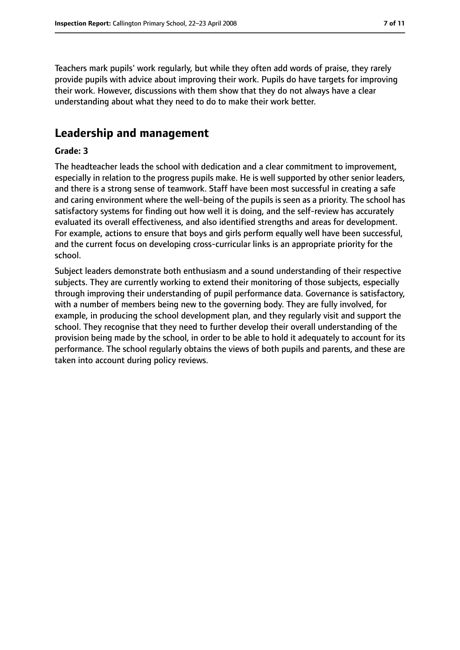Teachers mark pupils' work regularly, but while they often add words of praise, they rarely provide pupils with advice about improving their work. Pupils do have targets for improving their work. However, discussions with them show that they do not always have a clear understanding about what they need to do to make their work better.

# **Leadership and management**

#### **Grade: 3**

The headteacher leads the school with dedication and a clear commitment to improvement, especially in relation to the progress pupils make. He is well supported by other senior leaders, and there is a strong sense of teamwork. Staff have been most successful in creating a safe and caring environment where the well-being of the pupils is seen as a priority. The school has satisfactory systems for finding out how well it is doing, and the self-review has accurately evaluated its overall effectiveness, and also identified strengths and areas for development. For example, actions to ensure that boys and girls perform equally well have been successful, and the current focus on developing cross-curricular links is an appropriate priority for the school.

Subject leaders demonstrate both enthusiasm and a sound understanding of their respective subjects. They are currently working to extend their monitoring of those subjects, especially through improving their understanding of pupil performance data. Governance is satisfactory, with a number of members being new to the governing body. They are fully involved, for example, in producing the school development plan, and they regularly visit and support the school. They recognise that they need to further develop their overall understanding of the provision being made by the school, in order to be able to hold it adequately to account for its performance. The school regularly obtains the views of both pupils and parents, and these are taken into account during policy reviews.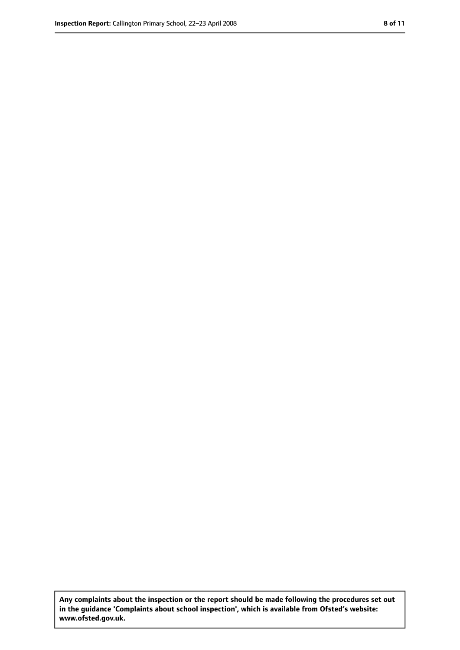**Any complaints about the inspection or the report should be made following the procedures set out in the guidance 'Complaints about school inspection', which is available from Ofsted's website: www.ofsted.gov.uk.**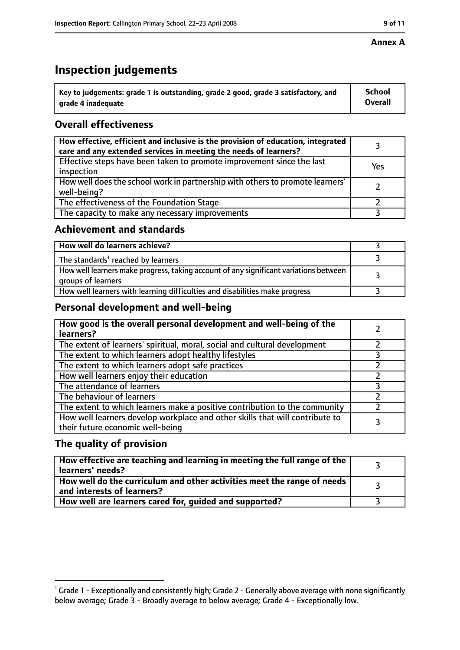#### **Annex A**

# **Inspection judgements**

| $^{\backprime}$ Key to judgements: grade 1 is outstanding, grade 2 good, grade 3 satisfactory, and | <b>School</b>  |
|----------------------------------------------------------------------------------------------------|----------------|
| arade 4 inadequate                                                                                 | <b>Overall</b> |

# **Overall effectiveness**

| How effective, efficient and inclusive is the provision of education, integrated<br>care and any extended services in meeting the needs of learners? |     |
|------------------------------------------------------------------------------------------------------------------------------------------------------|-----|
| Effective steps have been taken to promote improvement since the last<br>inspection                                                                  | Yes |
| How well does the school work in partnership with others to promote learners'<br>well-being?                                                         |     |
| The effectiveness of the Foundation Stage                                                                                                            |     |
| The capacity to make any necessary improvements                                                                                                      |     |

#### **Achievement and standards**

| How well do learners achieve?                                                                               |  |
|-------------------------------------------------------------------------------------------------------------|--|
| The standards <sup>1</sup> reached by learners                                                              |  |
| How well learners make progress, taking account of any significant variations between<br>groups of learners |  |
| How well learners with learning difficulties and disabilities make progress                                 |  |

#### **Personal development and well-being**

| How good is the overall personal development and well-being of the<br>learners?                                  |  |
|------------------------------------------------------------------------------------------------------------------|--|
| The extent of learners' spiritual, moral, social and cultural development                                        |  |
| The extent to which learners adopt healthy lifestyles                                                            |  |
| The extent to which learners adopt safe practices                                                                |  |
| How well learners enjoy their education                                                                          |  |
| The attendance of learners                                                                                       |  |
| The behaviour of learners                                                                                        |  |
| The extent to which learners make a positive contribution to the community                                       |  |
| How well learners develop workplace and other skills that will contribute to<br>their future economic well-being |  |

#### **The quality of provision**

| How effective are teaching and learning in meeting the full range of the<br>learners' needs?          |  |
|-------------------------------------------------------------------------------------------------------|--|
| How well do the curriculum and other activities meet the range of needs<br>and interests of learners? |  |
| How well are learners cared for, quided and supported?                                                |  |

 $^1$  Grade 1 - Exceptionally and consistently high; Grade 2 - Generally above average with none significantly below average; Grade 3 - Broadly average to below average; Grade 4 - Exceptionally low.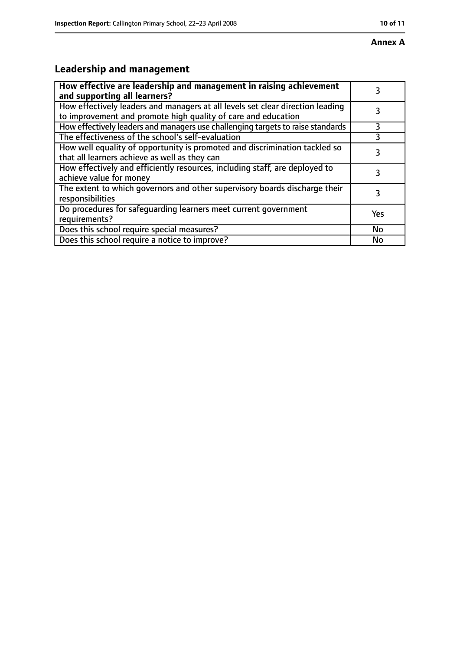# **Annex A**

# **Leadership and management**

| How effective are leadership and management in raising achievement<br>and supporting all learners?                                              |     |
|-------------------------------------------------------------------------------------------------------------------------------------------------|-----|
| How effectively leaders and managers at all levels set clear direction leading<br>to improvement and promote high quality of care and education |     |
| How effectively leaders and managers use challenging targets to raise standards                                                                 |     |
| The effectiveness of the school's self-evaluation                                                                                               |     |
| How well equality of opportunity is promoted and discrimination tackled so<br>that all learners achieve as well as they can                     | 3   |
| How effectively and efficiently resources, including staff, are deployed to<br>achieve value for money                                          | З   |
| The extent to which governors and other supervisory boards discharge their<br>responsibilities                                                  | 3   |
| Do procedures for safequarding learners meet current government<br>requirements?                                                                | Yes |
| Does this school require special measures?                                                                                                      | No  |
| Does this school require a notice to improve?                                                                                                   | No  |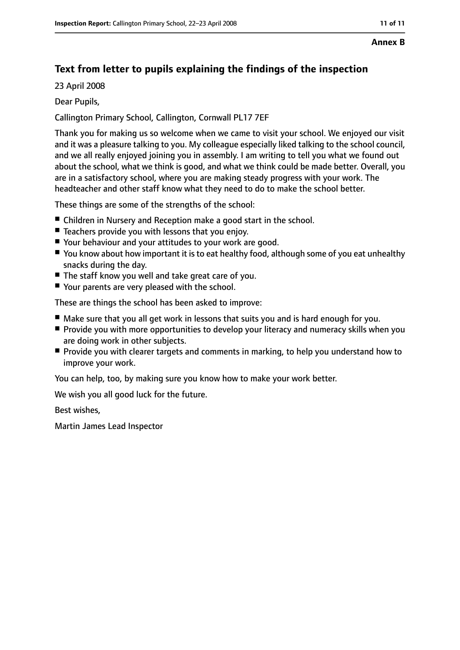#### **Annex B**

# **Text from letter to pupils explaining the findings of the inspection**

23 April 2008

#### Dear Pupils,

Callington Primary School, Callington, Cornwall PL17 7EF

Thank you for making us so welcome when we came to visit your school. We enjoyed our visit and it was a pleasure talking to you. My colleague especially liked talking to the school council, and we all really enjoyed joining you in assembly. I am writing to tell you what we found out about the school, what we think is good, and what we think could be made better. Overall, you are in a satisfactory school, where you are making steady progress with your work. The headteacher and other staff know what they need to do to make the school better.

These things are some of the strengths of the school:

- Children in Nursery and Reception make a good start in the school.
- Teachers provide you with lessons that you enjoy.
- Your behaviour and your attitudes to your work are good.
- You know about how important it is to eat healthy food, although some of you eat unhealthy snacks during the day.
- The staff know you well and take great care of you.
- Your parents are very pleased with the school.

These are things the school has been asked to improve:

- Make sure that you all get work in lessons that suits you and is hard enough for you.
- Provide you with more opportunities to develop your literacy and numeracy skills when you are doing work in other subjects.
- Provide you with clearer targets and comments in marking, to help you understand how to improve your work.

You can help, too, by making sure you know how to make your work better.

We wish you all good luck for the future.

Best wishes,

Martin James Lead Inspector